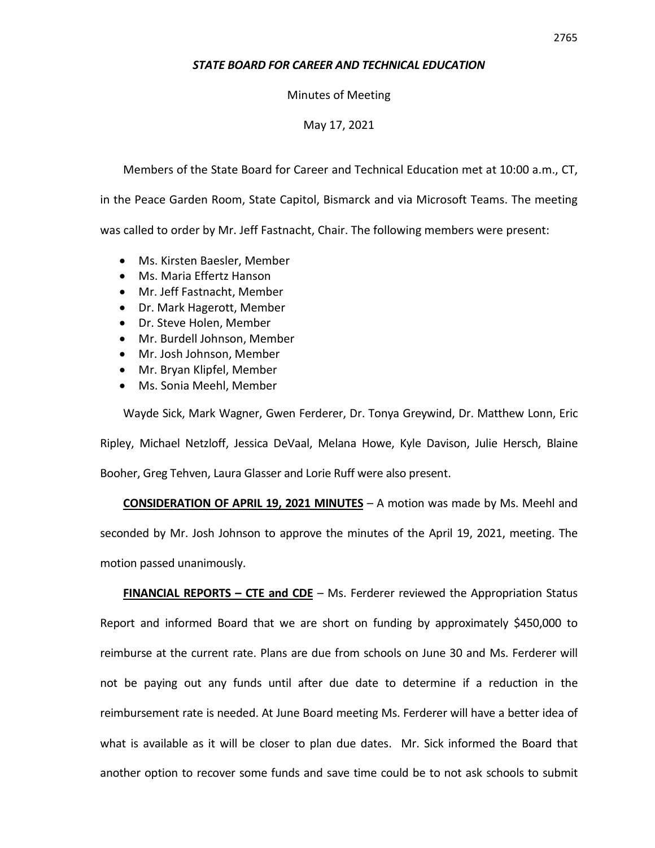## *STATE BOARD FOR CAREER AND TECHNICAL EDUCATION*

## Minutes of Meeting

## May 17, 2021

Members of the State Board for Career and Technical Education met at 10:00 a.m., CT,

in the Peace Garden Room, State Capitol, Bismarck and via Microsoft Teams. The meeting was called to order by Mr. Jeff Fastnacht, Chair. The following members were present:

- Ms. Kirsten Baesler, Member
- Ms. Maria Effertz Hanson
- Mr. Jeff Fastnacht, Member
- Dr. Mark Hagerott, Member
- Dr. Steve Holen, Member
- Mr. Burdell Johnson, Member
- Mr. Josh Johnson, Member
- Mr. Bryan Klipfel, Member
- Ms. Sonia Meehl, Member

Wayde Sick, Mark Wagner, Gwen Ferderer, Dr. Tonya Greywind, Dr. Matthew Lonn, Eric Ripley, Michael Netzloff, Jessica DeVaal, Melana Howe, Kyle Davison, Julie Hersch, Blaine Booher, Greg Tehven, Laura Glasser and Lorie Ruff were also present.

**CONSIDERATION OF APRIL 19, 2021 MINUTES** – A motion was made by Ms. Meehl and seconded by Mr. Josh Johnson to approve the minutes of the April 19, 2021, meeting. The motion passed unanimously.

**FINANCIAL REPORTS – CTE and CDE** – Ms. Ferderer reviewed the Appropriation Status Report and informed Board that we are short on funding by approximately \$450,000 to reimburse at the current rate. Plans are due from schools on June 30 and Ms. Ferderer will not be paying out any funds until after due date to determine if a reduction in the reimbursement rate is needed. At June Board meeting Ms. Ferderer will have a better idea of what is available as it will be closer to plan due dates. Mr. Sick informed the Board that another option to recover some funds and save time could be to not ask schools to submit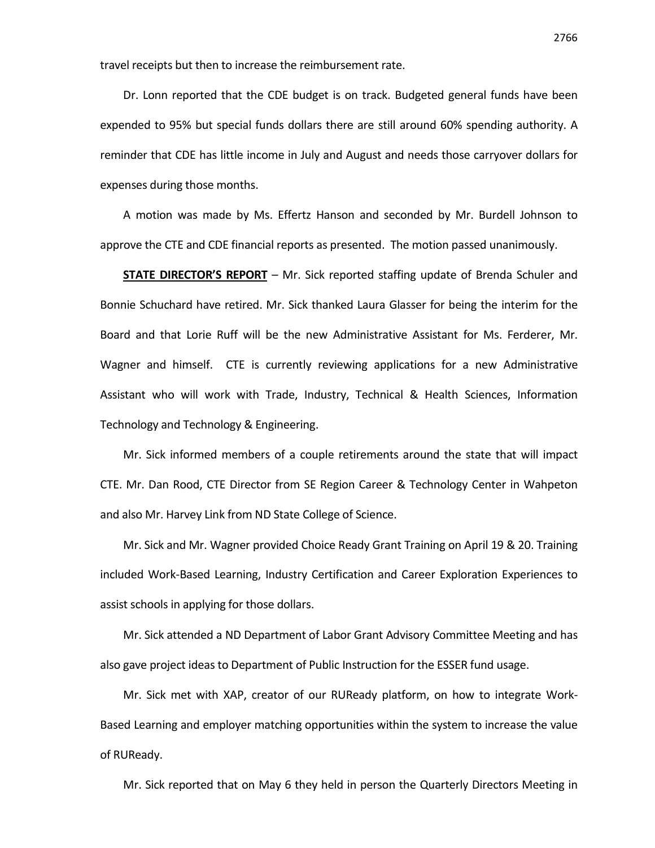travel receipts but then to increase the reimbursement rate.

Dr. Lonn reported that the CDE budget is on track. Budgeted general funds have been expended to 95% but special funds dollars there are still around 60% spending authority. A reminder that CDE has little income in July and August and needs those carryover dollars for expenses during those months.

A motion was made by Ms. Effertz Hanson and seconded by Mr. Burdell Johnson to approve the CTE and CDE financial reports as presented. The motion passed unanimously.

**STATE DIRECTOR'S REPORT** – Mr. Sick reported staffing update of Brenda Schuler and Bonnie Schuchard have retired. Mr. Sick thanked Laura Glasser for being the interim for the Board and that Lorie Ruff will be the new Administrative Assistant for Ms. Ferderer, Mr. Wagner and himself. CTE is currently reviewing applications for a new Administrative Assistant who will work with Trade, Industry, Technical & Health Sciences, Information Technology and Technology & Engineering.

Mr. Sick informed members of a couple retirements around the state that will impact CTE. Mr. Dan Rood, CTE Director from SE Region Career & Technology Center in Wahpeton and also Mr. Harvey Link from ND State College of Science.

Mr. Sick and Mr. Wagner provided Choice Ready Grant Training on April 19 & 20. Training included Work-Based Learning, Industry Certification and Career Exploration Experiences to assist schools in applying for those dollars.

Mr. Sick attended a ND Department of Labor Grant Advisory Committee Meeting and has also gave project ideas to Department of Public Instruction for the ESSER fund usage.

Mr. Sick met with XAP, creator of our RUReady platform, on how to integrate Work-Based Learning and employer matching opportunities within the system to increase the value of RUReady.

Mr. Sick reported that on May 6 they held in person the Quarterly Directors Meeting in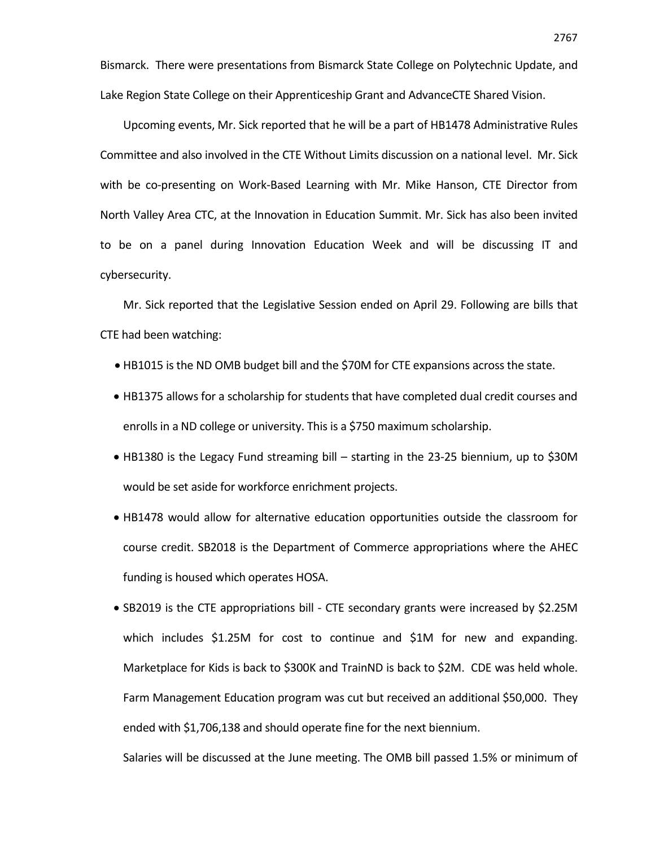Bismarck. There were presentations from Bismarck State College on Polytechnic Update, and Lake Region State College on their Apprenticeship Grant and AdvanceCTE Shared Vision.

Upcoming events, Mr. Sick reported that he will be a part of HB1478 Administrative Rules Committee and also involved in the CTE Without Limits discussion on a national level. Mr. Sick with be co-presenting on Work-Based Learning with Mr. Mike Hanson, CTE Director from North Valley Area CTC, at the Innovation in Education Summit. Mr. Sick has also been invited to be on a panel during Innovation Education Week and will be discussing IT and cybersecurity.

Mr. Sick reported that the Legislative Session ended on April 29. Following are bills that CTE had been watching:

- HB1015 is the ND OMB budget bill and the \$70M for CTE expansions across the state.
- HB1375 allows for a scholarship for students that have completed dual credit courses and enrolls in a ND college or university. This is a \$750 maximum scholarship.
- HB1380 is the Legacy Fund streaming bill starting in the 23-25 biennium, up to \$30M would be set aside for workforce enrichment projects.
- HB1478 would allow for alternative education opportunities outside the classroom for course credit. SB2018 is the Department of Commerce appropriations where the AHEC funding is housed which operates HOSA.

• SB2019 is the CTE appropriations bill - CTE secondary grants were increased by \$2.25M which includes \$1.25M for cost to continue and \$1M for new and expanding. Marketplace for Kids is back to \$300K and TrainND is back to \$2M. CDE was held whole. Farm Management Education program was cut but received an additional \$50,000. They ended with \$1,706,138 and should operate fine for the next biennium.

Salaries will be discussed at the June meeting. The OMB bill passed 1.5% or minimum of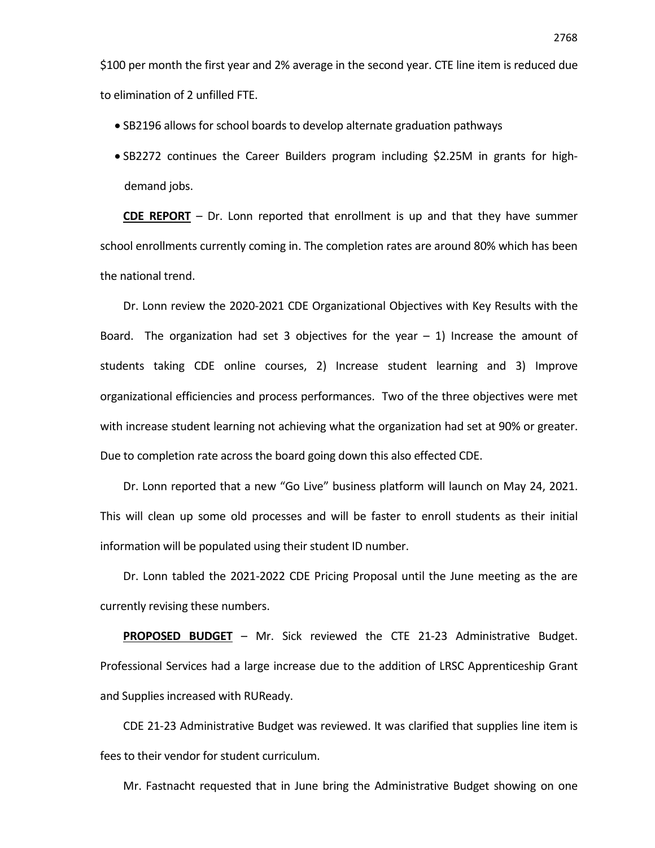\$100 per month the first year and 2% average in the second year. CTE line item is reduced due to elimination of 2 unfilled FTE.

- SB2196 allows for school boards to develop alternate graduation pathways
- SB2272 continues the Career Builders program including \$2.25M in grants for highdemand jobs.

**CDE REPORT** – Dr. Lonn reported that enrollment is up and that they have summer school enrollments currently coming in. The completion rates are around 80% which has been the national trend.

Dr. Lonn review the 2020-2021 CDE Organizational Objectives with Key Results with the Board. The organization had set 3 objectives for the year  $-1$ ) Increase the amount of students taking CDE online courses, 2) Increase student learning and 3) Improve organizational efficiencies and process performances. Two of the three objectives were met with increase student learning not achieving what the organization had set at 90% or greater. Due to completion rate across the board going down this also effected CDE.

Dr. Lonn reported that a new "Go Live" business platform will launch on May 24, 2021. This will clean up some old processes and will be faster to enroll students as their initial information will be populated using their student ID number.

Dr. Lonn tabled the 2021-2022 CDE Pricing Proposal until the June meeting as the are currently revising these numbers.

**PROPOSED BUDGET** – Mr. Sick reviewed the CTE 21-23 Administrative Budget. Professional Services had a large increase due to the addition of LRSC Apprenticeship Grant and Supplies increased with RUReady.

CDE 21-23 Administrative Budget was reviewed. It was clarified that supplies line item is fees to their vendor for student curriculum.

Mr. Fastnacht requested that in June bring the Administrative Budget showing on one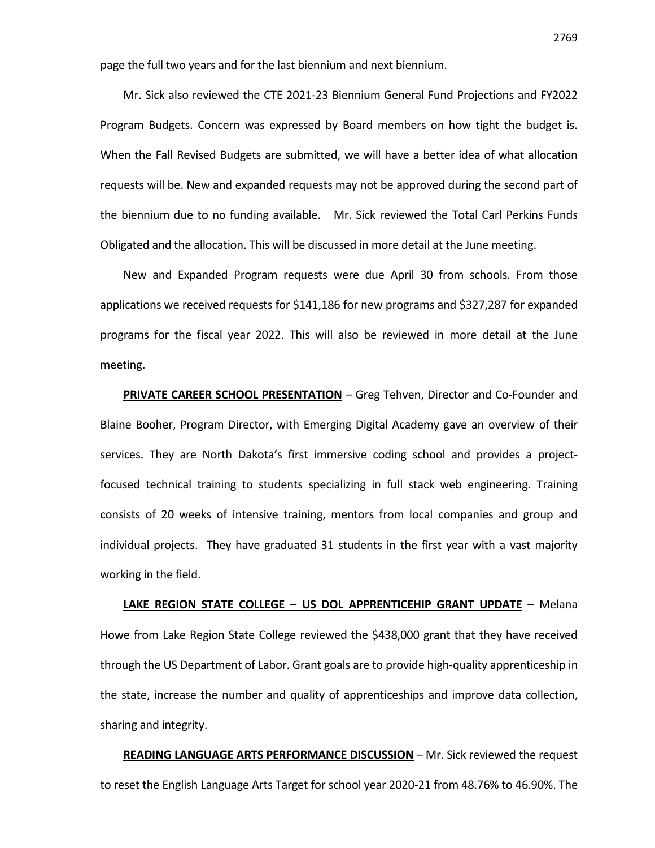page the full two years and for the last biennium and next biennium.

Mr. Sick also reviewed the CTE 2021-23 Biennium General Fund Projections and FY2022 Program Budgets. Concern was expressed by Board members on how tight the budget is. When the Fall Revised Budgets are submitted, we will have a better idea of what allocation requests will be. New and expanded requests may not be approved during the second part of the biennium due to no funding available. Mr. Sick reviewed the Total Carl Perkins Funds Obligated and the allocation. This will be discussed in more detail at the June meeting.

New and Expanded Program requests were due April 30 from schools. From those applications we received requests for \$141,186 for new programs and \$327,287 for expanded programs for the fiscal year 2022. This will also be reviewed in more detail at the June meeting.

**PRIVATE CAREER SCHOOL PRESENTATION** – Greg Tehven, Director and Co-Founder and Blaine Booher, Program Director, with Emerging Digital Academy gave an overview of their services. They are North Dakota's first immersive coding school and provides a projectfocused technical training to students specializing in full stack web engineering. Training consists of 20 weeks of intensive training, mentors from local companies and group and individual projects. They have graduated 31 students in the first year with a vast majority working in the field.

**LAKE REGION STATE COLLEGE – US DOL APPRENTICEHIP GRANT UPDATE** – Melana Howe from Lake Region State College reviewed the \$438,000 grant that they have received through the US Department of Labor. Grant goals are to provide high-quality apprenticeship in the state, increase the number and quality of apprenticeships and improve data collection, sharing and integrity.

**READING LANGUAGE ARTS PERFORMANCE DISCUSSION** – Mr. Sick reviewed the request to reset the English Language Arts Target for school year 2020-21 from 48.76% to 46.90%. The